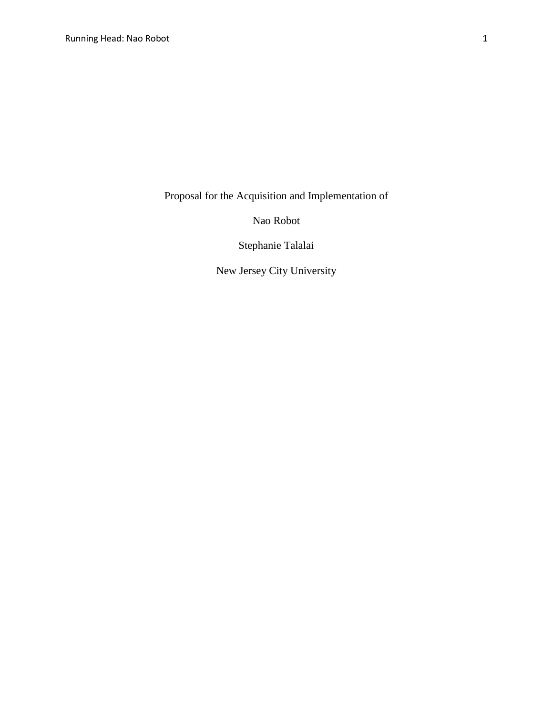Proposal for the Acquisition and Implementation of

Nao Robot

Stephanie Talalai

New Jersey City University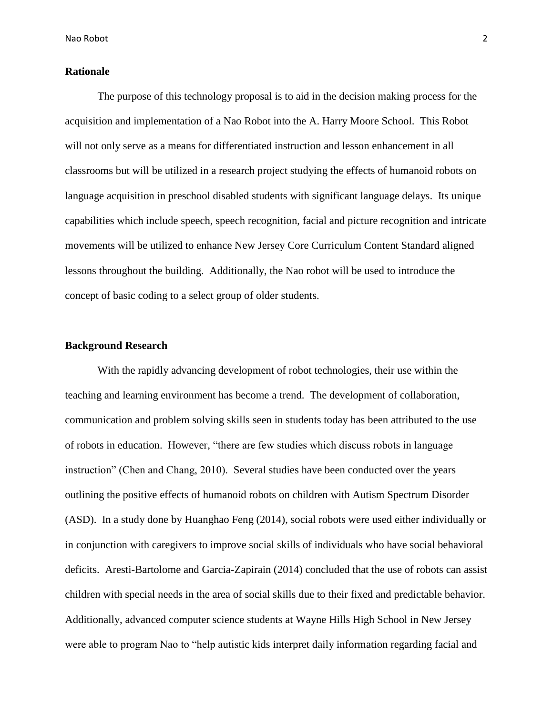Nao Robot 2

## **Rationale**

The purpose of this technology proposal is to aid in the decision making process for the acquisition and implementation of a Nao Robot into the A. Harry Moore School. This Robot will not only serve as a means for differentiated instruction and lesson enhancement in all classrooms but will be utilized in a research project studying the effects of humanoid robots on language acquisition in preschool disabled students with significant language delays. Its unique capabilities which include speech, speech recognition, facial and picture recognition and intricate movements will be utilized to enhance New Jersey Core Curriculum Content Standard aligned lessons throughout the building. Additionally, the Nao robot will be used to introduce the concept of basic coding to a select group of older students.

### **Background Research**

With the rapidly advancing development of robot technologies, their use within the teaching and learning environment has become a trend. The development of collaboration, communication and problem solving skills seen in students today has been attributed to the use of robots in education. However, "there are few studies which discuss robots in language instruction" (Chen and Chang, 2010). Several studies have been conducted over the years outlining the positive effects of humanoid robots on children with Autism Spectrum Disorder (ASD). In a study done by Huanghao Feng (2014), social robots were used either individually or in conjunction with caregivers to improve social skills of individuals who have social behavioral deficits. Aresti-Bartolome and Garcia-Zapirain (2014) concluded that the use of robots can assist children with special needs in the area of social skills due to their fixed and predictable behavior. Additionally, advanced computer science students at Wayne Hills High School in New Jersey were able to program Nao to "help autistic kids interpret daily information regarding facial and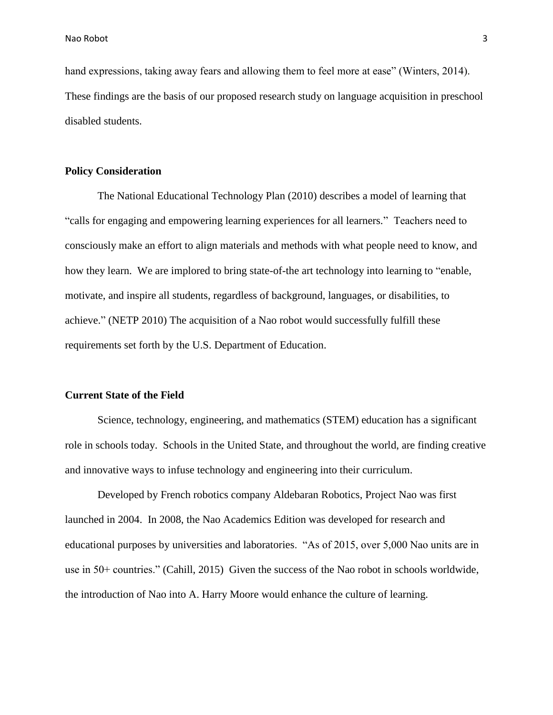hand expressions, taking away fears and allowing them to feel more at ease" (Winters, 2014). These findings are the basis of our proposed research study on language acquisition in preschool disabled students.

#### **Policy Consideration**

The National Educational Technology Plan (2010) describes a model of learning that "calls for engaging and empowering learning experiences for all learners." Teachers need to consciously make an effort to align materials and methods with what people need to know, and how they learn. We are implored to bring state-of-the art technology into learning to "enable, motivate, and inspire all students, regardless of background, languages, or disabilities, to achieve." (NETP 2010) The acquisition of a Nao robot would successfully fulfill these requirements set forth by the U.S. Department of Education.

## **Current State of the Field**

Science, technology, engineering, and mathematics (STEM) education has a significant role in schools today. Schools in the United State, and throughout the world, are finding creative and innovative ways to infuse technology and engineering into their curriculum.

Developed by French robotics company Aldebaran Robotics, Project Nao was first launched in 2004. In 2008, the Nao Academics Edition was developed for research and educational purposes by universities and laboratories. "As of 2015, over 5,000 Nao units are in use in 50+ countries." (Cahill, 2015) Given the success of the Nao robot in schools worldwide, the introduction of Nao into A. Harry Moore would enhance the culture of learning.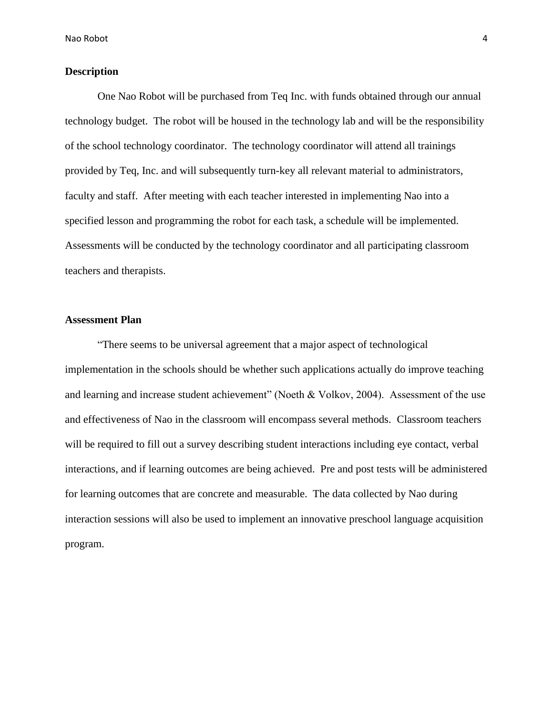# **Description**

One Nao Robot will be purchased from Teq Inc. with funds obtained through our annual technology budget. The robot will be housed in the technology lab and will be the responsibility of the school technology coordinator. The technology coordinator will attend all trainings provided by Teq, Inc. and will subsequently turn-key all relevant material to administrators, faculty and staff. After meeting with each teacher interested in implementing Nao into a specified lesson and programming the robot for each task, a schedule will be implemented. Assessments will be conducted by the technology coordinator and all participating classroom teachers and therapists.

## **Assessment Plan**

"There seems to be universal agreement that a major aspect of technological implementation in the schools should be whether such applications actually do improve teaching and learning and increase student achievement" (Noeth & Volkov, 2004). Assessment of the use and effectiveness of Nao in the classroom will encompass several methods. Classroom teachers will be required to fill out a survey describing student interactions including eye contact, verbal interactions, and if learning outcomes are being achieved. Pre and post tests will be administered for learning outcomes that are concrete and measurable. The data collected by Nao during interaction sessions will also be used to implement an innovative preschool language acquisition program.